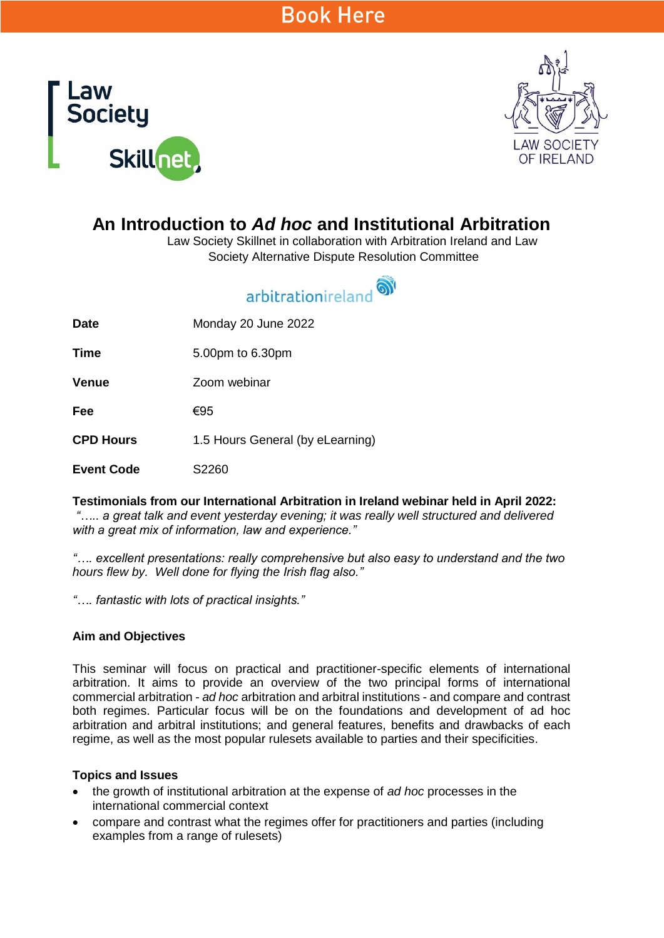# **Book Here**





## **An Introduction to** *Ad hoc* **and Institutional Arbitration**

Law Society Skillnet in collaboration with Arbitration Ireland and Law Society Alternative Dispute Resolution Committee

# arbitrationireland<sup>ov</sup>

**Date** Monday 20 June 2022

**Time** 5.00pm to 6.30pm

**Venue** Zoom webinar

**Fee** €95

**CPD Hours** 1.5 Hours General (by eLearning)

**Event Code** S2260

**Testimonials from our International Arbitration in Ireland webinar held in April 2022:**

*"….. a great talk and event yesterday evening; it was really well structured and delivered with a great mix of information, law and experience."*

*"…. excellent presentations: really comprehensive but also easy to understand and the two hours flew by. Well done for flying the Irish flag also."*

*"…. fantastic with lots of practical insights."*

#### **Aim and Objectives**

This seminar will focus on practical and practitioner-specific elements of international arbitration. It aims to provide an overview of the two principal forms of international commercial arbitration - *ad hoc* arbitration and arbitral institutions - and compare and contrast both regimes. Particular focus will be on the foundations and development of ad hoc arbitration and arbitral institutions; and general features, benefits and drawbacks of each regime, as well as the most popular rulesets available to parties and their specificities.

#### **Topics and Issues**

- the growth of institutional arbitration at the expense of *ad hoc* processes in the international commercial context
- compare and contrast what the regimes offer for practitioners and parties (including examples from a range of rulesets)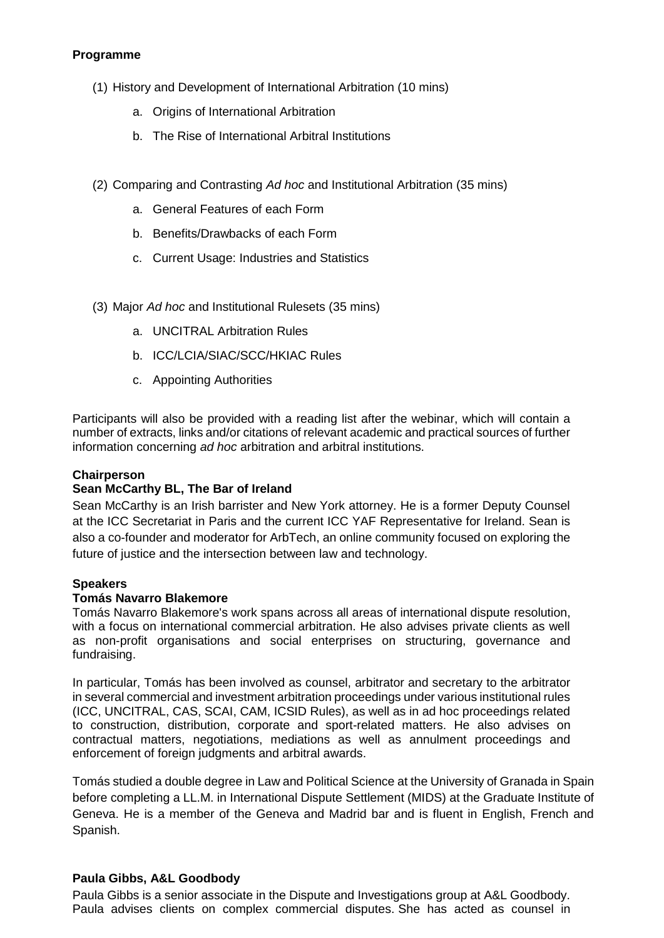### **Programme**

- (1) History and Development of International Arbitration (10 mins)
	- a. Origins of International Arbitration
	- b. The Rise of International Arbitral Institutions
- (2) Comparing and Contrasting *Ad hoc* and Institutional Arbitration (35 mins)
	- a. General Features of each Form
	- b. Benefits/Drawbacks of each Form
	- c. Current Usage: Industries and Statistics
- (3) Major *Ad hoc* and Institutional Rulesets (35 mins)
	- a. UNCITRAL Arbitration Rules
	- b. ICC/LCIA/SIAC/SCC/HKIAC Rules
	- c. Appointing Authorities

Participants will also be provided with a reading list after the webinar, which will contain a number of extracts, links and/or citations of relevant academic and practical sources of further information concerning *ad hoc* arbitration and arbitral institutions.

#### **Chairperson**

#### **Sean McCarthy BL, The Bar of Ireland**

Sean McCarthy is an Irish barrister and New York attorney. He is a former Deputy Counsel at the ICC Secretariat in Paris and the current ICC YAF Representative for Ireland. Sean is also a co-founder and moderator for ArbTech, an online community focused on exploring the future of justice and the intersection between law and technology.

#### **Speakers**

#### **Tomás Navarro Blakemore**

Tomás Navarro Blakemore's work spans across all areas of international dispute resolution, with a focus on international commercial arbitration. He also advises private clients as well as non-profit organisations and social enterprises on structuring, governance and fundraising.

In particular, Tomás has been involved as counsel, arbitrator and secretary to the arbitrator in several commercial and investment arbitration proceedings under various institutional rules (ICC, UNCITRAL, CAS, SCAI, CAM, ICSID Rules), as well as in ad hoc proceedings related to construction, distribution, corporate and sport-related matters. He also advises on contractual matters, negotiations, mediations as well as annulment proceedings and enforcement of foreign judgments and arbitral awards.

Tomás studied a double degree in Law and Political Science at the University of Granada in Spain before completing a LL.M. in International Dispute Settlement (MIDS) at the Graduate Institute of Geneva. He is a member of the Geneva and Madrid bar and is fluent in English, French and Spanish.

#### **Paula Gibbs, A&L Goodbody**

Paula Gibbs is a senior associate in the Dispute and Investigations group at A&L Goodbody. Paula advises clients on complex commercial disputes. She has acted as counsel in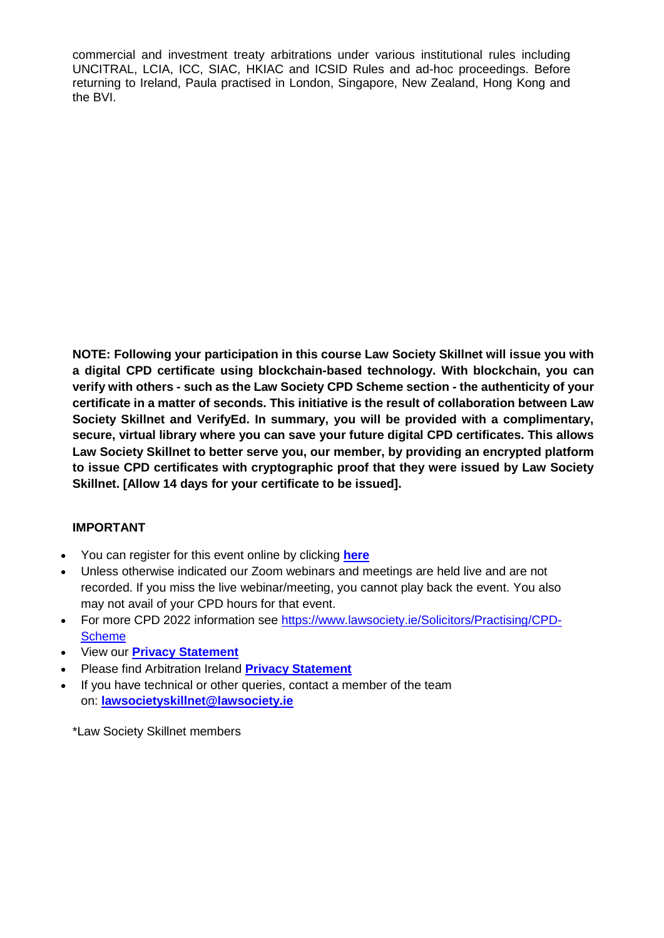commercial and investment treaty arbitrations under various institutional rules including UNCITRAL, LCIA, ICC, SIAC, HKIAC and ICSID Rules and ad-hoc proceedings. Before returning to Ireland, Paula practised in London, Singapore, New Zealand, Hong Kong and the BVI.

**NOTE: Following your participation in this course Law Society Skillnet will issue you with a digital CPD certificate using blockchain-based technology. With blockchain, you can verify with others - such as the Law Society CPD Scheme section - the authenticity of your certificate in a matter of seconds. This initiative is the result of collaboration between Law Society Skillnet and VerifyEd. In summary, you will be provided with a complimentary, secure, virtual library where you can save your future digital CPD certificates. This allows Law Society Skillnet to better serve you, our member, by providing an encrypted platform to issue CPD certificates with cryptographic proof that they were issued by Law Society Skillnet. [Allow 14 days for your certificate to be issued].**

### **IMPORTANT**

- You can register for this event online by clicking **[here](https://www.lawsociety.ie/productdetails?pid=2630)**
- Unless otherwise indicated our Zoom webinars and meetings are held live and are not recorded. If you miss the live webinar/meeting, you cannot play back the event. You also may not avail of your CPD hours for that event.
- For more CPD 2022 information see [https://www.lawsociety.ie/Solicitors/Practising/CPD-](https://www.lawsociety.ie/Solicitors/Practising/CPD-Scheme)**[Scheme](https://www.lawsociety.ie/Solicitors/Practising/CPD-Scheme)**
- View our **Privacy [Statement](https://www.lawsociety.ie/globalassets/documents/lspt/2022/privacy-statement-lspt-lsskillnet.pdf)**
- Please find Arbitration Ireland **[Privacy Statement](https://arbitrationireland.com/wp-content/uploads/2022/02/AI-Privacy-policy_proof1.pdf)**
- If you have technical or other queries, contact a member of the team on: **[lawsocietyskillnet@lawsociety.ie](mailto:lawsocietyskillnet@lawsociety.ie)**

\*Law Society Skillnet members